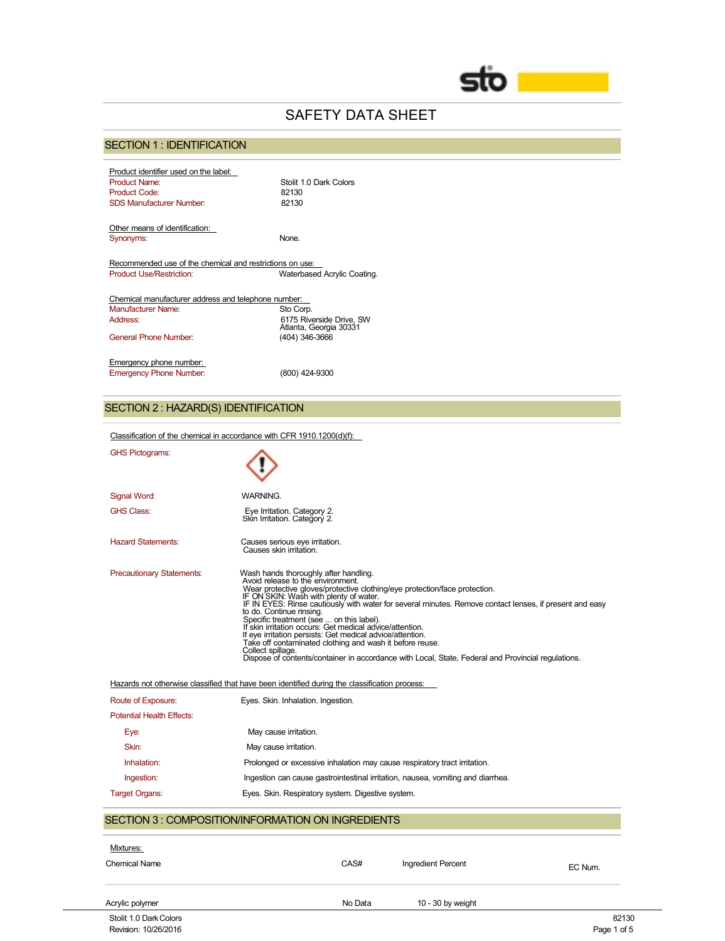

# SAFETY DATA SHEET

# SECTION 1 : IDENTIFICATION

| Product identifier used on the label:                    |                                                    |
|----------------------------------------------------------|----------------------------------------------------|
| <b>Product Name:</b>                                     | Stolit 1.0 Dark Colors                             |
| <b>Product Code:</b>                                     | 82130                                              |
| <b>SDS Manufacturer Number:</b>                          | 82130                                              |
| Other means of identification:                           |                                                    |
|                                                          | None                                               |
| Synonyms:                                                |                                                    |
| Recommended use of the chemical and restrictions on use: |                                                    |
| <b>Product Use/Restriction:</b>                          | Waterbased Acrylic Coating.                        |
|                                                          |                                                    |
| Chemical manufacturer address and telephone number:      |                                                    |
| Manufacturer Name:                                       | Sto Corp.                                          |
| Address:                                                 | 6175 Riverside Drive, SW<br>Atlanta, Georgia 30331 |
| General Phone Number                                     | (404) 346-3666                                     |
|                                                          |                                                    |
| Emergency phone number:                                  |                                                    |
| <b>Emergency Phone Number:</b>                           | (800) 424-9300                                     |

# SECTION 2 : HAZARD(S) IDENTIFICATION

| Classification of the chemical in accordance with CFR 1910.1200(d)(f): |                                                                                                                                                                                                                                                                                                                                                                                                                                                                                                                                                                                                                                                                                                                                                                                                        |  |
|------------------------------------------------------------------------|--------------------------------------------------------------------------------------------------------------------------------------------------------------------------------------------------------------------------------------------------------------------------------------------------------------------------------------------------------------------------------------------------------------------------------------------------------------------------------------------------------------------------------------------------------------------------------------------------------------------------------------------------------------------------------------------------------------------------------------------------------------------------------------------------------|--|
| <b>GHS Pictograms:</b>                                                 |                                                                                                                                                                                                                                                                                                                                                                                                                                                                                                                                                                                                                                                                                                                                                                                                        |  |
| Signal Word:                                                           | WARNING.                                                                                                                                                                                                                                                                                                                                                                                                                                                                                                                                                                                                                                                                                                                                                                                               |  |
| <b>GHS Class:</b>                                                      | Eye Irritation. Category 2.<br>Skin Irritation. Category 2.                                                                                                                                                                                                                                                                                                                                                                                                                                                                                                                                                                                                                                                                                                                                            |  |
| <b>Hazard Statements:</b>                                              | Causes serious eye irritation.<br>Causes skin irritation.                                                                                                                                                                                                                                                                                                                                                                                                                                                                                                                                                                                                                                                                                                                                              |  |
| <b>Precautionary Statements:</b>                                       | Wash hands thoroughly after handling.<br>Avoid release to the environment.<br>Wear protective gloves/protective clothing/eye protection/face protection.<br>IF ON SKIN: Wash with plenty of water.<br>IF IN EYES: Rinse cautiously with water for several minutes. Remove contact lenses, if present and easy<br>to do. Continue rinsing.<br>Specific treatment (see  on this label).<br>If skin irritation occurs: Get medical advice/attention.<br>If eye irritation persists: Get medical advice/attention.<br>Take off contaminated clothing and wash it before reuse.<br>Collect spillage.<br>Dispose of contents/container in accordance with Local, State, Federal and Provincial regulations.<br>Hazards not otherwise classified that have been identified during the classification process: |  |
| Route of Exposure:                                                     | Eyes. Skin. Inhalation. Ingestion.                                                                                                                                                                                                                                                                                                                                                                                                                                                                                                                                                                                                                                                                                                                                                                     |  |
| <b>Potential Health Effects:</b>                                       |                                                                                                                                                                                                                                                                                                                                                                                                                                                                                                                                                                                                                                                                                                                                                                                                        |  |
| Eye:                                                                   | May cause irritation.                                                                                                                                                                                                                                                                                                                                                                                                                                                                                                                                                                                                                                                                                                                                                                                  |  |
| Skin:                                                                  | May cause irritation.                                                                                                                                                                                                                                                                                                                                                                                                                                                                                                                                                                                                                                                                                                                                                                                  |  |
| Inhalation:                                                            | Prolonged or excessive inhalation may cause respiratory tract irritation.                                                                                                                                                                                                                                                                                                                                                                                                                                                                                                                                                                                                                                                                                                                              |  |
| Ingestion:                                                             | Ingestion can cause gastrointestinal irritation, nausea, vomiting and diarrhea.                                                                                                                                                                                                                                                                                                                                                                                                                                                                                                                                                                                                                                                                                                                        |  |
| <b>Target Organs:</b>                                                  | Eyes. Skin. Respiratory system. Digestive system.                                                                                                                                                                                                                                                                                                                                                                                                                                                                                                                                                                                                                                                                                                                                                      |  |
|                                                                        | <b>SECTION 3: COMPOSITION/INFORMATION ON INGREDIENTS</b>                                                                                                                                                                                                                                                                                                                                                                                                                                                                                                                                                                                                                                                                                                                                               |  |
| Mixtures:                                                              |                                                                                                                                                                                                                                                                                                                                                                                                                                                                                                                                                                                                                                                                                                                                                                                                        |  |
| <b>Chemical Name</b>                                                   | CAS#<br>Ingredient Percent<br>EC Num.                                                                                                                                                                                                                                                                                                                                                                                                                                                                                                                                                                                                                                                                                                                                                                  |  |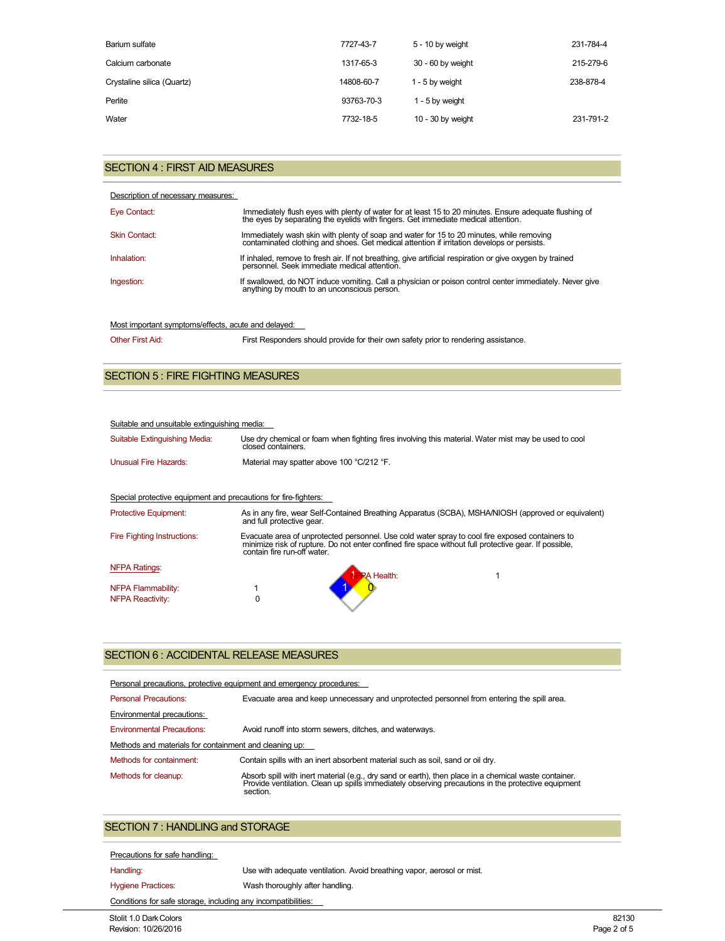| Barium sulfate             | 7727-43-7  | 5 - 10 by weight    | 231-784-4 |
|----------------------------|------------|---------------------|-----------|
| Calcium carbonate          | 1317-65-3  | 30 - 60 by weight   | 215-279-6 |
| Crystaline silica (Quartz) | 14808-60-7 | 1 - 5 by weight     | 238-878-4 |
| Perlite                    | 93763-70-3 | 1 - 5 by weight     |           |
| Water                      | 7732-18-5  | $10 - 30$ by weight | 231-791-2 |

## SECTION 4 : FIRST AID MEASURES

| Description of necessary measures: |                                                                                                                                                                                          |
|------------------------------------|------------------------------------------------------------------------------------------------------------------------------------------------------------------------------------------|
| Eye Contact:                       | Immediately flush eyes with plenty of water for at least 15 to 20 minutes. Ensure adequate flushing of the eyes by separating the eyelids with fingers. Get immediate medical attention. |
| <b>Skin Contact:</b>               | Immediately wash skin with plenty of soap and water for 15 to 20 minutes, while removing<br>contaminated clothing and shoes. Get medical attention if irritation develops or persists.   |
| Inhalation:                        | If inhaled, remove to fresh air. If not breathing, give artificial respiration or give oxygen by trained<br>personnel. Seek immediate medical attention.                                 |
| Ingestion:                         | If swallowed, do NOT induce vomiting. Call a physician or poison control center immediately. Never give<br>anything by mouth to an unconscious person.                                   |

# Most important symptoms/effects, acute and delayed:

Other First Aid: First Responders should provide for their own safety prior to rendering assistance.

## SECTION 5 : FIRE FIGHTING MEASURES

#### Suitable and unsuitable extinguishing media:

| Suitable Extinguishing Media: | Use dry chemical or foam when fighting fires involving this material. Water mist may be used to cool<br>closed containers. |
|-------------------------------|----------------------------------------------------------------------------------------------------------------------------|
| Unusual Fire Hazards:         | Material may spatter above 100 °C/212 °F.                                                                                  |

#### Special protective equipment and precautions for fire-fighters:

| <b>Protective Equipment:</b>       | and full protective gear.   | As in any fire, wear Self-Contained Breathing Apparatus (SCBA), MSHA/NIOSH (approved or equivalent)                                                                                                      |  |
|------------------------------------|-----------------------------|----------------------------------------------------------------------------------------------------------------------------------------------------------------------------------------------------------|--|
| <b>Fire Fighting Instructions:</b> | contain fire run-off water. | Evacuate area of unprotected personnel. Use cold water spray to cool fire exposed containers to<br>minimize risk of rupture. Do not enter confined fire space without full protective gear. If possible, |  |
| <b>NFPA Ratings:</b>               |                             | <b>PA Health:</b>                                                                                                                                                                                        |  |
| NFPA Flammability:                 |                             |                                                                                                                                                                                                          |  |
| <b>NFPA Reactivity:</b>            |                             |                                                                                                                                                                                                          |  |

## SECTION 6 : ACCIDENTAL RELEASE MEASURES

| Personal precautions, protective equipment and emergency procedures: |                                                                                                                                                                                                                         |  |
|----------------------------------------------------------------------|-------------------------------------------------------------------------------------------------------------------------------------------------------------------------------------------------------------------------|--|
| <b>Personal Precautions:</b>                                         | Evacuate area and keep unnecessary and unprotected personnel from entering the spill area.                                                                                                                              |  |
| Environmental precautions:                                           |                                                                                                                                                                                                                         |  |
| <b>Environmental Precautions:</b>                                    | Avoid runoff into storm sewers, ditches, and waterways.                                                                                                                                                                 |  |
| Methods and materials for containment and cleaning up:               |                                                                                                                                                                                                                         |  |
| Methods for containment:                                             | Contain spills with an inert absorbent material such as soil, sand or oil dry.                                                                                                                                          |  |
| Methods for cleanup:                                                 | Absorb spill with inert material (e.g., dry sand or earth), then place in a chemical waste container.<br>Provide ventilation. Clean up spills immediately observing precautions in the protective equipment<br>section. |  |

# SECTION 7 : HANDLING and STORAGE

### Precautions for safe handling:

Handling: Vse with adequate ventilation. Avoid breathing vapor, aerosol or mist.

Hygiene Practices: Wash thoroughly after handling.

Conditions for safe storage, including any incompatibilities: